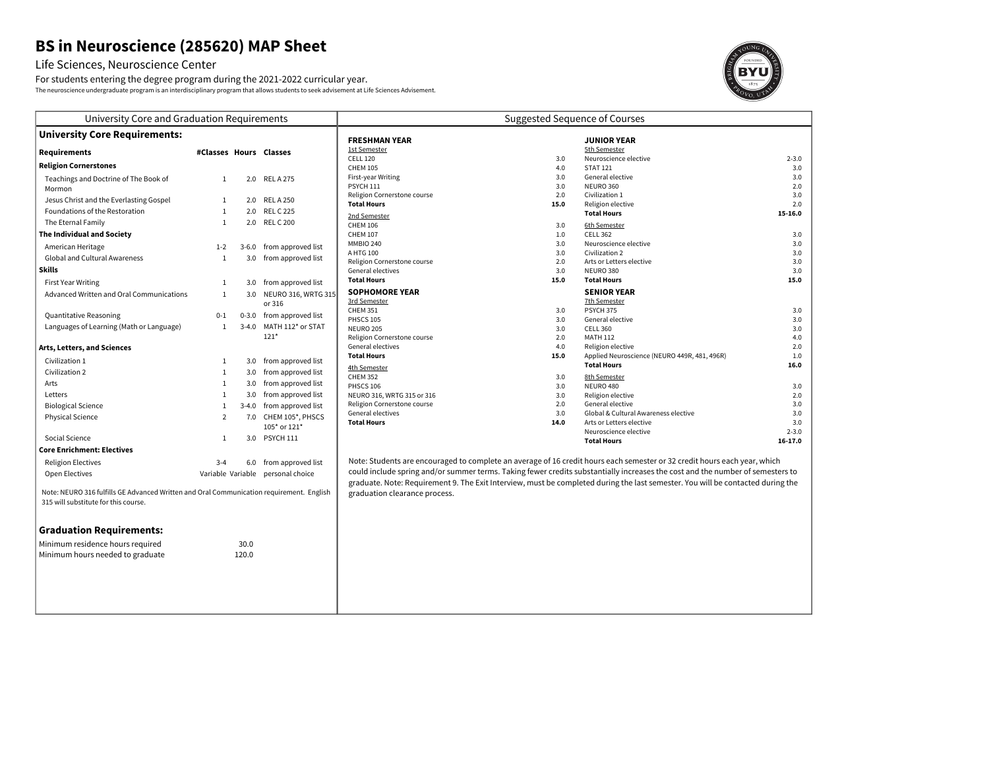# **BS in Neuroscience (285620) MAP Sheet**

## Life Sciences, Neuroscience Center

For students entering the degree program during the 2021-2022 curricular year. The neuroscience undergraduate program is an interdisciplinary program that allows students to seek advisement at Life Sciences Advisement.



| University Core and Graduation Requirements                                                                                      |                        |           |                                   | Suggested Sequence of Courses                     |                    |                                                                                                                                 |            |
|----------------------------------------------------------------------------------------------------------------------------------|------------------------|-----------|-----------------------------------|---------------------------------------------------|--------------------|---------------------------------------------------------------------------------------------------------------------------------|------------|
| <b>University Core Requirements:</b>                                                                                             |                        |           | <b>FRESHMAN YEAR</b>              |                                                   | <b>JUNIOR YEAR</b> |                                                                                                                                 |            |
| <b>Requirements</b>                                                                                                              | #Classes Hours Classes |           |                                   | <b>1st Semester</b>                               |                    | 5th Semester                                                                                                                    |            |
|                                                                                                                                  |                        |           |                                   | <b>CELL 120</b>                                   | 3.0                | Neuroscience elective                                                                                                           | $2 - 3.0$  |
| <b>Religion Cornerstones</b>                                                                                                     |                        |           |                                   | <b>CHEM 105</b>                                   | 4.0                | <b>STAT 121</b>                                                                                                                 | 3.0        |
| Teachings and Doctrine of The Book of                                                                                            | $\mathbf{1}$           |           | 2.0 RELA275                       | First-year Writing                                | 3.0                | General elective                                                                                                                | 3.0        |
| Mormon                                                                                                                           |                        |           |                                   | <b>PSYCH 111</b>                                  | 3.0                | NEURO 360                                                                                                                       | 2.0        |
| Jesus Christ and the Everlasting Gospel                                                                                          | $\mathbf{1}$           |           | 2.0 RELA 250                      | Religion Cornerstone course<br><b>Total Hours</b> | 2.0<br>15.0        | Civilization 1<br>Religion elective                                                                                             | 3.0<br>2.0 |
| Foundations of the Restoration                                                                                                   | $\mathbf{1}$           |           | 2.0 REL C 225                     |                                                   |                    | <b>Total Hours</b>                                                                                                              | 15-16.0    |
| The Eternal Family                                                                                                               | $\mathbf{1}$           |           | 2.0 REL C 200                     | 2nd Semester<br><b>CHEM 106</b>                   | 3.0                | 6th Semester                                                                                                                    |            |
| The Individual and Society                                                                                                       |                        |           |                                   | <b>CHEM 107</b>                                   | 1.0                | <b>CELL 362</b>                                                                                                                 | 3.0        |
| American Heritage                                                                                                                | $1-2$                  |           | 3-6.0 from approved list          | <b>MMBIO 240</b>                                  | 3.0                | Neuroscience elective                                                                                                           | 3.0        |
| <b>Global and Cultural Awareness</b>                                                                                             |                        |           |                                   | A HTG 100                                         | 3.0                | Civilization 2                                                                                                                  | 3.0        |
|                                                                                                                                  | $\mathbf{1}$           |           | 3.0 from approved list            | Religion Cornerstone course                       | 2.0                | Arts or Letters elective                                                                                                        | 3.0        |
| <b>Skills</b>                                                                                                                    |                        |           |                                   | General electives                                 | 3.0                | NEURO 380                                                                                                                       | 3.0        |
| <b>First Year Writing</b>                                                                                                        | $\mathbf{1}$           |           | 3.0 from approved list            | <b>Total Hours</b>                                | 15.0               | <b>Total Hours</b>                                                                                                              | 15.0       |
| Advanced Written and Oral Communications                                                                                         | $\mathbf{1}$           |           | 3.0 NEURO 316, WRTG 315           | <b>SOPHOMORE YEAR</b>                             |                    | <b>SENIOR YEAR</b>                                                                                                              |            |
|                                                                                                                                  |                        |           | or 316                            | 3rd Semester                                      |                    | 7th Semester<br>PSYCH 375                                                                                                       |            |
| Quantitative Reasoning                                                                                                           | $0 - 1$                |           | 0-3.0 from approved list          | <b>CHEM 351</b><br><b>PHSCS 105</b>               | 3.0<br>3.0         | General elective                                                                                                                | 3.0<br>3.0 |
| Languages of Learning (Math or Language)                                                                                         | $\mathbf{1}$           | $3 - 4.0$ | MATH 112* or STAT                 | NEURO 205                                         | 3.0                | <b>CELL 360</b>                                                                                                                 | 3.0        |
|                                                                                                                                  |                        |           | $121*$                            | Religion Cornerstone course                       | 2.0                | <b>MATH 112</b>                                                                                                                 | 4.0        |
| Arts, Letters, and Sciences                                                                                                      |                        |           |                                   | General electives                                 | 4.0                | Religion elective                                                                                                               | 2.0        |
| Civilization 1                                                                                                                   | 1                      |           | 3.0 from approved list            | <b>Total Hours</b>                                | 15.0               | Applied Neuroscience (NEURO 449R, 481, 496R)                                                                                    | 1.0        |
| Civilization 2                                                                                                                   | $\mathbf{1}$           |           | 3.0 from approved list            | 4th Semester                                      |                    | <b>Total Hours</b>                                                                                                              | 16.0       |
| Arts                                                                                                                             | $\mathbf{1}$           |           | 3.0 from approved list            | <b>CHEM 352</b>                                   | 3.0                | 8th Semester                                                                                                                    |            |
|                                                                                                                                  |                        |           |                                   | <b>PHSCS 106</b>                                  | 3.0                | NEURO 480                                                                                                                       | 3.0        |
| Letters                                                                                                                          | $\mathbf{1}$           |           | 3.0 from approved list            | NEURO 316, WRTG 315 or 316                        | 3.0<br>2.0         | Religion elective                                                                                                               | 2.0        |
| <b>Biological Science</b>                                                                                                        | $\mathbf{1}$           |           | 3-4.0 from approved list          | Religion Cornerstone course<br>General electives  | 3.0                | General elective<br>Global & Cultural Awareness elective                                                                        | 3.0<br>3.0 |
| <b>Physical Science</b>                                                                                                          | $\overline{2}$         |           | 7.0 CHEM 105*, PHSCS              | <b>Total Hours</b>                                | 14.0               | Arts or Letters elective                                                                                                        | 3.0        |
|                                                                                                                                  |                        |           | 105* or 121*                      |                                                   |                    | Neuroscience elective                                                                                                           | $2 - 3.0$  |
| Social Science                                                                                                                   | 1                      |           | 3.0 PSYCH 111                     |                                                   |                    | <b>Total Hours</b>                                                                                                              | 16-17.0    |
| <b>Core Enrichment: Electives</b>                                                                                                |                        |           |                                   |                                                   |                    |                                                                                                                                 |            |
| <b>Religion Electives</b>                                                                                                        | $3 - 4$                |           | 6.0 from approved list            |                                                   |                    | Note: Students are encouraged to complete an average of 16 credit hours each semester or 32 credit hours each year, which       |            |
| Open Electives                                                                                                                   |                        |           | Variable Variable personal choice |                                                   |                    | could include spring and/or summer terms. Taking fewer credits substantially increases the cost and the number of semesters to  |            |
|                                                                                                                                  |                        |           |                                   |                                                   |                    | graduate. Note: Requirement 9. The Exit Interview, must be completed during the last semester. You will be contacted during the |            |
| Note: NEURO 316 fulfills GE Advanced Written and Oral Communication requirement. English<br>315 will substitute for this course. |                        |           |                                   | graduation clearance process.                     |                    |                                                                                                                                 |            |
| <b>Graduation Requirements:</b>                                                                                                  |                        |           |                                   |                                                   |                    |                                                                                                                                 |            |
|                                                                                                                                  |                        |           |                                   |                                                   |                    |                                                                                                                                 |            |
| Minimum residence hours required                                                                                                 |                        | 30.0      |                                   |                                                   |                    |                                                                                                                                 |            |
| Minimum hours needed to graduate                                                                                                 |                        | 120.0     |                                   |                                                   |                    |                                                                                                                                 |            |
|                                                                                                                                  |                        |           |                                   |                                                   |                    |                                                                                                                                 |            |
|                                                                                                                                  |                        |           |                                   |                                                   |                    |                                                                                                                                 |            |
|                                                                                                                                  |                        |           |                                   |                                                   |                    |                                                                                                                                 |            |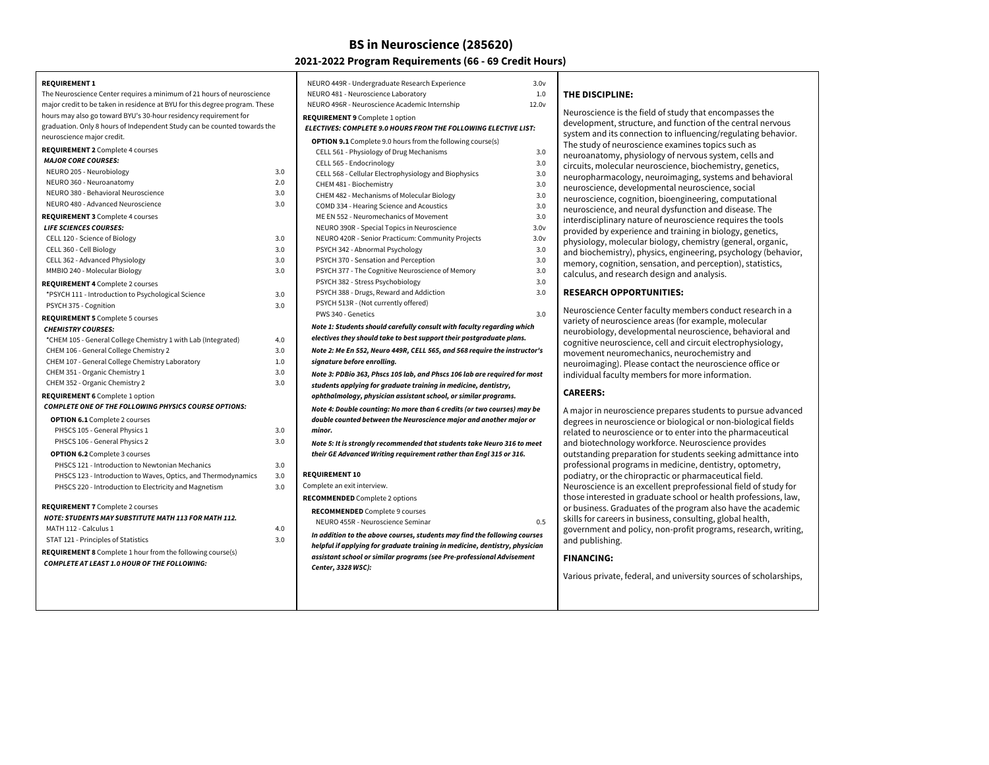## **BS in Neuroscience (285620)**

## **2021-2022 Program Requirements (66 - 69 Credit Hours)**

**REQUIREMENT 1** The Neuroscience Center requires a minimum of 21 hours of neuroscience major credit to be taken in residence at BYU for this degree program. These hours may also go toward BYU's 30-hour residency requirement for graduation. Only 8 hours of Independent Study can be counted towards the neuroscience major credit. **REQUIREMENT 2** Complete 4 courses **MAJOR CORE COURSES: REQUIREMENT 3** Complete 4 courses **LIFE SCIENCES COURSES: REQUIREMENT 4** Complete 2 courses **REQUIREMENT 5** Complete 5 courses **CHEMISTRY COURSES:** NEURO 205 - Neurobiology 3.0 NEURO 360 - Neuroanatomy 2.0 NEURO 380 - Behavioral Neuroscience 3.0 NEURO 480 - Advanced Neuroscience 3.0 CELL 120 - Science of Biology 3.0 CELL 360 - Cell Biology 3.0 CELL 362 - Advanced Physiology 3.0<br>MMBIO 249 - Molecules Biology 3.0 MMBIO 240 - Molecular Biology

| MMBIO 240 - MOIECUIAr BIOIOGY                                     | 3.U |            |
|-------------------------------------------------------------------|-----|------------|
| <b>REQUIREMENT 4 Complete 2 courses</b>                           |     |            |
| *PSYCH 111 - Introduction to Psychological Science                | 3.0 |            |
| PSYCH 375 - Cognition                                             | 3.0 |            |
| <b>REQUIREMENT 5</b> Complete 5 courses                           |     |            |
| <b>CHEMISTRY COURSES:</b>                                         |     | Λ          |
| *CHEM 105 - General College Chemistry 1 with Lab (Integrated)     | 4.0 | e          |
| CHEM 106 - General College Chemistry 2                            | 3.0 | Λ          |
| CHEM 107 - General College Chemistry Laboratory                   | 1.0 | S          |
| CHEM 351 - Organic Chemistry 1                                    | 3.0 | Λ          |
| CHEM 352 - Organic Chemistry 2                                    | 3.0 | S          |
| <b>REQUIREMENT 6</b> Complete 1 option                            |     | C          |
| <b>COMPLETE ONE OF THE FOLLOWING PHYSICS COURSE OPTIONS:</b>      |     | Λ          |
| <b>OPTION 6.1</b> Complete 2 courses                              |     | c          |
| PHSCS 105 - General Physics 1                                     | 3.0 | ľ          |
| PHSCS 106 - General Physics 2                                     | 3.0 | Λ          |
| <b>OPTION 6.2</b> Complete 3 courses                              |     | t          |
| PHSCS 121 - Introduction to Newtonian Mechanics                   | 3.0 |            |
| PHSCS 123 - Introduction to Waves, Optics, and Thermodynamics     | 3.0 | <b>REC</b> |
| PHSCS 220 - Introduction to Electricity and Magnetism             | 3.0 | Con        |
|                                                                   |     | <b>REC</b> |
| <b>REQUIREMENT 7</b> Complete 2 courses                           |     | F          |
| <b>NOTE: STUDENTS MAY SUBSTITUTE MATH 113 FOR MATH 112.</b>       |     |            |
| MATH 112 - Calculus 1                                             | 4.0 | ı          |
| STAT 121 - Principles of Statistics                               | 3.0 | h          |
| <b>REQUIREMENT 8</b> Complete 1 hour from the following course(s) |     | c          |
| <b>COMPLETE AT LEAST 1.0 HOUR OF THE FOLLOWING:</b>               |     | $\epsilon$ |
|                                                                   |     |            |
|                                                                   |     |            |

| NEURO 449R - Undergraduate Research Experience                                                   | 3.0v              |                                      |
|--------------------------------------------------------------------------------------------------|-------------------|--------------------------------------|
| NEURO 481 - Neuroscience Laboratory                                                              | 1.0               | <b>THE DISCI</b>                     |
| NEURO 496R - Neuroscience Academic Internship                                                    | 12.0 <sub>V</sub> | Neuroscier                           |
| <b>REQUIREMENT 9</b> Complete 1 option                                                           |                   | developme                            |
| ELECTIVES: COMPLETE 9.0 HOURS FROM THE FOLLOWING ELECTIVE LIST:                                  |                   | system and                           |
| <b>OPTION 9.1</b> Complete 9.0 hours from the following course(s)                                |                   | ، The study                          |
| CELL 561 - Physiology of Drug Mechanisms                                                         | neuroanat         |                                      |
| CELL 565 - Endocrinology                                                                         | 3.0               | circuits, m                          |
| CELL 568 - Cellular Electrophysiology and Biophysics                                             | 3.0               | neurophar                            |
| CHEM 481 - Biochemistry                                                                          | 3.0               | neuroscier                           |
| CHEM 482 - Mechanisms of Molecular Biology                                                       | 3.0               | neuroscier                           |
| COMD 334 - Hearing Science and Acoustics                                                         | 3.0               | neuroscier                           |
| ME EN 552 - Neuromechanics of Movement                                                           | 3.0               | interdiscip                          |
| NEURO 390R - Special Topics in Neuroscience<br>NEURO 420R - Senior Practicum: Community Projects | 3.0v<br>3.0v      | provided b                           |
| PSYCH 342 - Abnormal Psychology                                                                  | 3.0               | physiology                           |
| PSYCH 370 - Sensation and Perception                                                             | 3.0               | and bioche                           |
| PSYCH 377 - The Cognitive Neuroscience of Memory                                                 | 3.0               | memory, c                            |
| PSYCH 382 - Stress Psychobiology                                                                 | 3.0               | calculus, a                          |
| PSYCH 388 - Drugs, Reward and Addiction                                                          | 3.0               | <b>RESEARCI</b>                      |
| PSYCH 513R - (Not currently offered)                                                             |                   |                                      |
| PWS 340 - Genetics                                                                               | 3.0               | Neuroscier                           |
| Note 1: Students should carefully consult with faculty regarding which                           |                   | variety of r                         |
| electives they should take to best support their postgraduate plans.                             |                   | neurobiolc                           |
| Note 2: Me En 552, Neuro 449R, CELL 565, and 568 require the instructor's                        |                   | cognitive n                          |
| signature before enrolling.                                                                      |                   | movement                             |
| Note 3: PDBio 363, Phscs 105 lab, and Phscs 106 lab are required for most                        |                   | neuroimag<br>individual <sup>.</sup> |
| students applying for graduate training in medicine, dentistry,                                  |                   |                                      |
| ophthalmology, physician assistant school, or similar programs.                                  |                   | <b>CAREERS:</b>                      |
| Note 4: Double counting: No more than 6 credits (or two courses) may be                          |                   | A major in                           |
| double counted between the Neuroscience major and another major or                               |                   | degrees in                           |
| minor.                                                                                           |                   | related to i                         |
| Note 5: It is strongly recommended that students take Neuro 316 to meet                          |                   | and biotec                           |
| their GE Advanced Writing requirement rather than Engl 315 or 316.                               |                   | outstandin                           |
|                                                                                                  |                   | profession                           |
| <b>REQUIREMENT 10</b>                                                                            |                   | podiatry, o                          |
| Complete an exit interview.                                                                      |                   | Neuroscier                           |
| <b>RECOMMENDED</b> Complete 2 options                                                            |                   | those inter                          |
| <b>RECOMMENDED</b> Complete 9 courses                                                            |                   | or busines:                          |
| NEURO 455R - Neuroscience Seminar                                                                | 0.5               | skills for ca                        |
| In addition to the above courses, students may find the following courses                        | governmer         |                                      |
| helpful if applying for graduate training in medicine, dentistry, physician                      |                   | and publis                           |
| assistant school or similar programs (see Pre-professional Advisement                            |                   | <b>FINANCIN</b>                      |
| Center, 3328 WSC):                                                                               |                   |                                      |
|                                                                                                  |                   | Various pri                          |
|                                                                                                  |                   |                                      |

#### **THE DISCIPLINE:**

| Neuroscience is the field of study that encompasses the<br>development, structure, and function of the central nervous<br>system and its connection to influencing/regulating behavior.<br>The study of neuroscience examines topics such as<br>neuroanatomy, physiology of nervous system, cells and<br>circuits, molecular neuroscience, biochemistry, genetics,<br>neuropharmacology, neuroimaging, systems and behavioral<br>neuroscience, developmental neuroscience, social<br>neuroscience, cognition, bioengineering, computational<br>neuroscience, and neural dysfunction and disease. The<br>interdisciplinary nature of neuroscience requires the tools<br>provided by experience and training in biology, genetics,<br>physiology, molecular biology, chemistry (general, organic,<br>and biochemistry), physics, engineering, psychology (behavior,<br>memory, cognition, sensation, and perception), statistics,<br>calculus, and research design and analysis. |                 |
|--------------------------------------------------------------------------------------------------------------------------------------------------------------------------------------------------------------------------------------------------------------------------------------------------------------------------------------------------------------------------------------------------------------------------------------------------------------------------------------------------------------------------------------------------------------------------------------------------------------------------------------------------------------------------------------------------------------------------------------------------------------------------------------------------------------------------------------------------------------------------------------------------------------------------------------------------------------------------------|-----------------|
| <b>RESEARCH OPPORTUNITIES:</b>                                                                                                                                                                                                                                                                                                                                                                                                                                                                                                                                                                                                                                                                                                                                                                                                                                                                                                                                                 |                 |
| Neuroscience Center faculty members conduct research in a<br>variety of neuroscience areas (for example, molecular<br>neurobiology, developmental neuroscience, behavioral and<br>cognitive neuroscience, cell and circuit electrophysiology,<br>movement neuromechanics, neurochemistry and<br>neuroimaging). Please contact the neuroscience office or<br>individual faculty members for more information.                                                                                                                                                                                                                                                                                                                                                                                                                                                                                                                                                                   |                 |
| <b>CAREERS:</b>                                                                                                                                                                                                                                                                                                                                                                                                                                                                                                                                                                                                                                                                                                                                                                                                                                                                                                                                                                |                 |
| A major in neuroscience prepares students to pursue advanced<br>degrees in neuroscience or biological or non-biological fields<br>related to neuroscience or to enter into the pharmaceutical<br>and biotechnology workforce. Neuroscience provides<br>outstanding preparation for students seeking admittance into<br>professional programs in medicine, dentistry, optometry,<br>podiatry, or the chiropractic or pharmaceutical field.<br>Neuroscience is an excellent preprofessional field of study for<br>those interested in graduate school or health professions, law,<br>or business. Graduates of the program also have the academic<br>skills for careers in business, consulting, global health,<br>government and policy, non-profit programs, research, writing,                                                                                                                                                                                                |                 |
|                                                                                                                                                                                                                                                                                                                                                                                                                                                                                                                                                                                                                                                                                                                                                                                                                                                                                                                                                                                | and publishing. |

#### **FINANCING:**

ivate, federal, and university sources of scholarships,